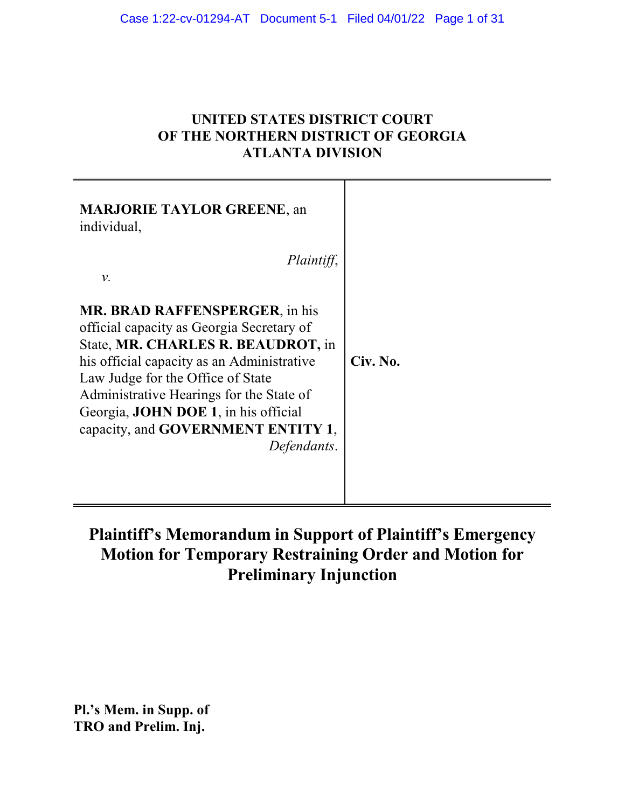## **UNITED STATES DISTRICT COURT OF THE NORTHERN DISTRICT OF GEORGIA ATLANTA DIVISION**

T

| <b>MARJORIE TAYLOR GREENE, an</b><br>individual,<br>Plaintiff,<br>ν.                                                                                                                                                                                                                                                                                         |          |
|--------------------------------------------------------------------------------------------------------------------------------------------------------------------------------------------------------------------------------------------------------------------------------------------------------------------------------------------------------------|----------|
| <b>MR. BRAD RAFFENSPERGER, in his</b><br>official capacity as Georgia Secretary of<br>State, MR. CHARLES R. BEAUDROT, in<br>his official capacity as an Administrative<br>Law Judge for the Office of State<br>Administrative Hearings for the State of<br>Georgia, <b>JOHN DOE 1</b> , in his official<br>capacity, and GOVERNMENT ENTITY 1,<br>Defendants. | Civ. No. |

# **Plaintiff's Memorandum in Support of Plaintiff's Emergency Motion for Temporary Restraining Order and Motion for Preliminary Injunction**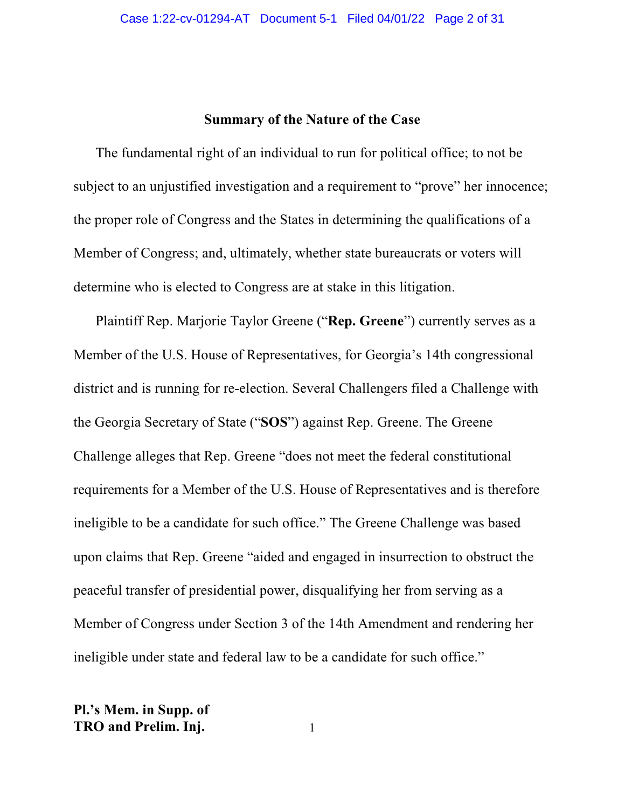## **Summary of the Nature of the Case**

The fundamental right of an individual to run for political office; to not be subject to an unjustified investigation and a requirement to "prove" her innocence; the proper role of Congress and the States in determining the qualifications of a Member of Congress; and, ultimately, whether state bureaucrats or voters will determine who is elected to Congress are at stake in this litigation.

Plaintiff Rep. Marjorie Taylor Greene ("**Rep. Greene**") currently serves as a Member of the U.S. House of Representatives, for Georgia's 14th congressional district and is running for re-election. Several Challengers filed a Challenge with the Georgia Secretary of State ("**SOS**") against Rep. Greene. The Greene Challenge alleges that Rep. Greene "does not meet the federal constitutional requirements for a Member of the U.S. House of Representatives and is therefore ineligible to be a candidate for such office." The Greene Challenge was based upon claims that Rep. Greene "aided and engaged in insurrection to obstruct the peaceful transfer of presidential power, disqualifying her from serving as a Member of Congress under Section 3 of the 14th Amendment and rendering her ineligible under state and federal law to be a candidate for such office."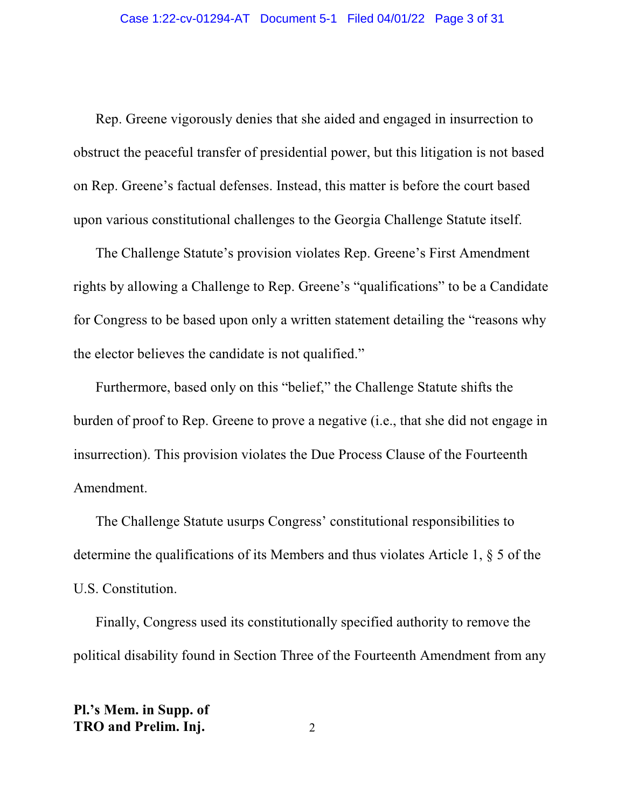Rep. Greene vigorously denies that she aided and engaged in insurrection to obstruct the peaceful transfer of presidential power, but this litigation is not based on Rep. Greene's factual defenses. Instead, this matter is before the court based upon various constitutional challenges to the Georgia Challenge Statute itself.

The Challenge Statute's provision violates Rep. Greene's First Amendment rights by allowing a Challenge to Rep. Greene's "qualifications" to be a Candidate for Congress to be based upon only a written statement detailing the "reasons why the elector believes the candidate is not qualified."

Furthermore, based only on this "belief," the Challenge Statute shifts the burden of proof to Rep. Greene to prove a negative (i.e., that she did not engage in insurrection). This provision violates the Due Process Clause of the Fourteenth Amendment.

The Challenge Statute usurps Congress' constitutional responsibilities to determine the qualifications of its Members and thus violates Article 1, § 5 of the U.S. Constitution.

Finally, Congress used its constitutionally specified authority to remove the political disability found in Section Three of the Fourteenth Amendment from any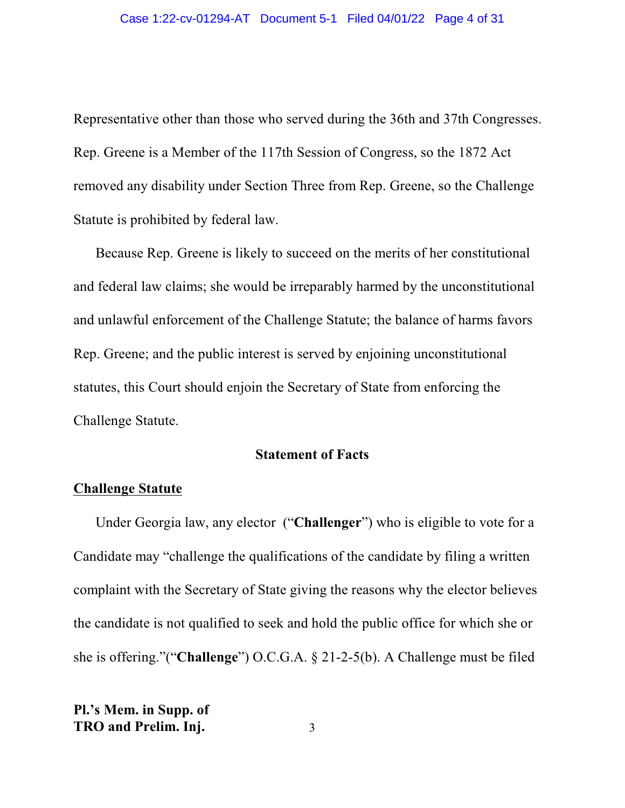Representative other than those who served during the 36th and 37th Congresses. Rep. Greene is a Member of the 117th Session of Congress, so the 1872 Act removed any disability under Section Three from Rep. Greene, so the Challenge Statute is prohibited by federal law.

Because Rep. Greene is likely to succeed on the merits of her constitutional and federal law claims; she would be irreparably harmed by the unconstitutional and unlawful enforcement of the Challenge Statute; the balance of harms favors Rep. Greene; and the public interest is served by enjoining unconstitutional statutes, this Court should enjoin the Secretary of State from enforcing the Challenge Statute.

### **Statement of Facts**

### **Challenge Statute**

Under Georgia law, any elector ("**Challenger**") who is eligible to vote for a Candidate may "challenge the qualifications of the candidate by filing a written complaint with the Secretary of State giving the reasons why the elector believes the candidate is not qualified to seek and hold the public office for which she or she is offering."("**Challenge**") O.C.G.A. § 21-2-5(b). A Challenge must be filed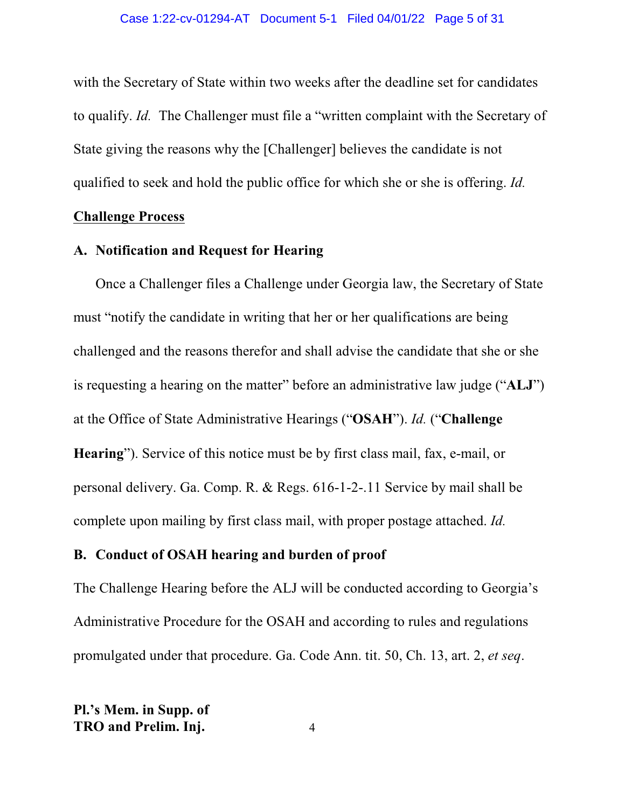with the Secretary of State within two weeks after the deadline set for candidates to qualify. *Id.* The Challenger must file a "written complaint with the Secretary of State giving the reasons why the [Challenger] believes the candidate is not qualified to seek and hold the public office for which she or she is offering. *Id.*

#### **Challenge Process**

## **A. Notification and Request for Hearing**

Once a Challenger files a Challenge under Georgia law, the Secretary of State must "notify the candidate in writing that her or her qualifications are being challenged and the reasons therefor and shall advise the candidate that she or she is requesting a hearing on the matter" before an administrative law judge ("**ALJ**") at the Office of State Administrative Hearings ("**OSAH**"). *Id.* ("**Challenge Hearing**"). Service of this notice must be by first class mail, fax, e-mail, or personal delivery. Ga. Comp. R. & Regs. 616-1-2-.11 Service by mail shall be complete upon mailing by first class mail, with proper postage attached. *Id.*

### **B. Conduct of OSAH hearing and burden of proof**

The Challenge Hearing before the ALJ will be conducted according to Georgia's Administrative Procedure for the OSAH and according to rules and regulations promulgated under that procedure. Ga. Code Ann. tit. 50, Ch. 13, art. 2, *et seq*.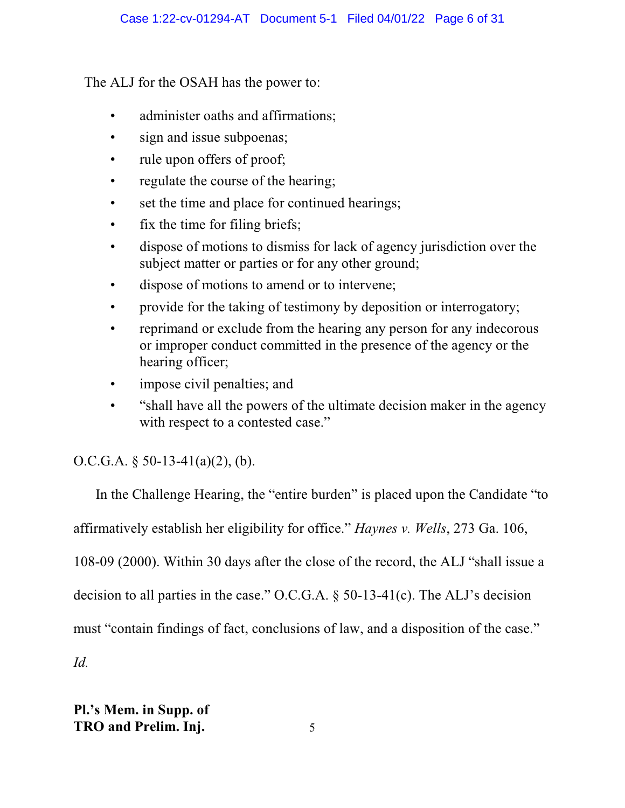The ALJ for the OSAH has the power to:

- administer oaths and affirmations;
- sign and issue subpoenas;
- rule upon offers of proof;
- regulate the course of the hearing;
- set the time and place for continued hearings;
- fix the time for filing briefs;
- dispose of motions to dismiss for lack of agency jurisdiction over the subject matter or parties or for any other ground;
- dispose of motions to amend or to intervene;
- provide for the taking of testimony by deposition or interrogatory;
- reprimand or exclude from the hearing any person for any indecorous or improper conduct committed in the presence of the agency or the hearing officer;
- impose civil penalties; and
- "shall have all the powers of the ultimate decision maker in the agency with respect to a contested case."

## O.C.G.A.  $\S$  50-13-41(a)(2), (b).

In the Challenge Hearing, the "entire burden" is placed upon the Candidate "to affirmatively establish her eligibility for office." *Haynes v. Wells*, 273 Ga. 106, 108-09 (2000). Within 30 days after the close of the record, the ALJ "shall issue a decision to all parties in the case." O.C.G.A. § 50-13-41(c). The ALJ's decision must "contain findings of fact, conclusions of law, and a disposition of the case." *Id.*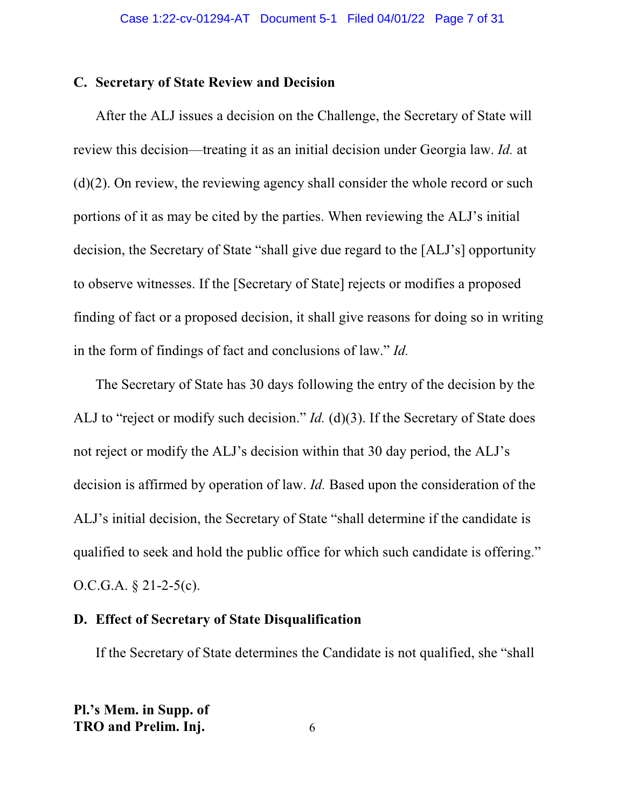## **C. Secretary of State Review and Decision**

After the ALJ issues a decision on the Challenge, the Secretary of State will review this decision—treating it as an initial decision under Georgia law. *Id.* at  $(d)(2)$ . On review, the reviewing agency shall consider the whole record or such portions of it as may be cited by the parties. When reviewing the ALJ's initial decision, the Secretary of State "shall give due regard to the [ALJ's] opportunity to observe witnesses. If the [Secretary of State] rejects or modifies a proposed finding of fact or a proposed decision, it shall give reasons for doing so in writing in the form of findings of fact and conclusions of law." *Id.*

The Secretary of State has 30 days following the entry of the decision by the ALJ to "reject or modify such decision." *Id.* (d)(3). If the Secretary of State does not reject or modify the ALJ's decision within that 30 day period, the ALJ's decision is affirmed by operation of law. *Id.* Based upon the consideration of the ALJ's initial decision, the Secretary of State "shall determine if the candidate is qualified to seek and hold the public office for which such candidate is offering." O.C.G.A. § 21-2-5(c).

## **D. Effect of Secretary of State Disqualification**

If the Secretary of State determines the Candidate is not qualified, she "shall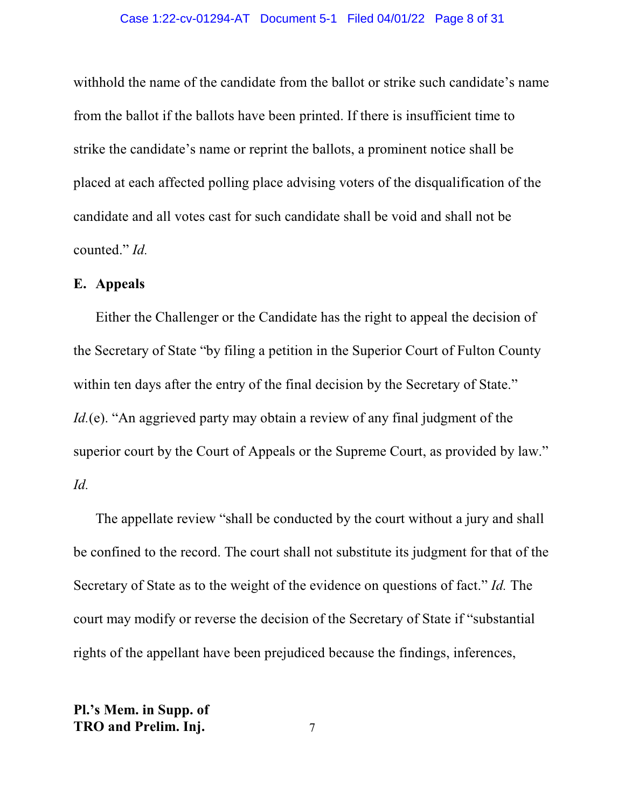#### Case 1:22-cv-01294-AT Document 5-1 Filed 04/01/22 Page 8 of 31

withhold the name of the candidate from the ballot or strike such candidate's name from the ballot if the ballots have been printed. If there is insufficient time to strike the candidate's name or reprint the ballots, a prominent notice shall be placed at each affected polling place advising voters of the disqualification of the candidate and all votes cast for such candidate shall be void and shall not be counted." *Id.*

## **E. Appeals**

Either the Challenger or the Candidate has the right to appeal the decision of the Secretary of State "by filing a petition in the Superior Court of Fulton County within ten days after the entry of the final decision by the Secretary of State." *Id.*(e). "An aggrieved party may obtain a review of any final judgment of the superior court by the Court of Appeals or the Supreme Court, as provided by law." *Id.*

The appellate review "shall be conducted by the court without a jury and shall be confined to the record. The court shall not substitute its judgment for that of the Secretary of State as to the weight of the evidence on questions of fact." *Id.* The court may modify or reverse the decision of the Secretary of State if "substantial rights of the appellant have been prejudiced because the findings, inferences,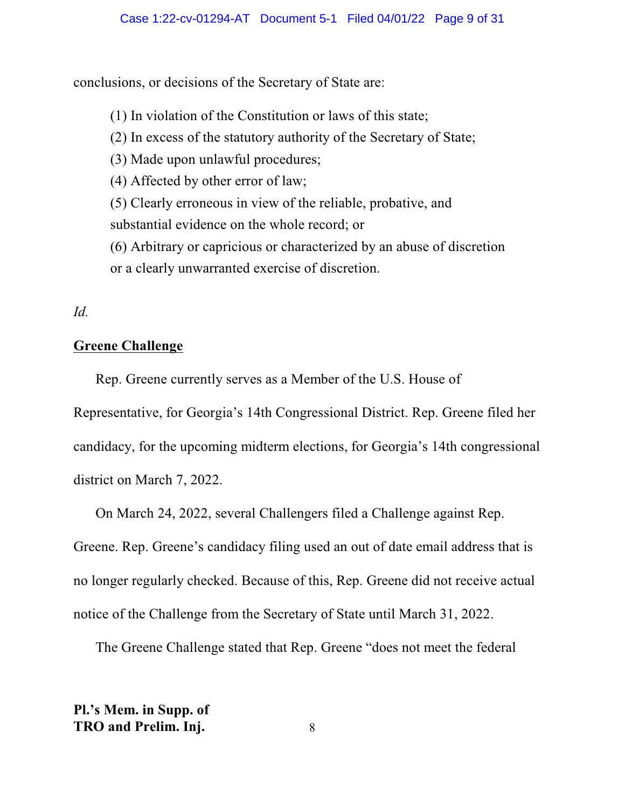conclusions, or decisions of the Secretary of State are:

(1) In violation of the Constitution or laws of this state;

(2) In excess of the statutory authority of the Secretary of State;

(3) Made upon unlawful procedures;

(4) Affected by other error of law;

(5) Clearly erroneous in view of the reliable, probative, and substantial evidence on the whole record; or

(6) Arbitrary or capricious or characterized by an abuse of discretion or a clearly unwarranted exercise of discretion.

## *Id.*

## **Greene Challenge**

Rep. Greene currently serves as a Member of the U.S. House of

Representative, for Georgia's 14th Congressional District. Rep. Greene filed her candidacy, for the upcoming midterm elections, for Georgia's 14th congressional district on March 7, 2022.

On March 24, 2022, several Challengers filed a Challenge against Rep. Greene. Rep. Greene's candidacy filing used an out of date email address that is no longer regularly checked. Because of this, Rep. Greene did not receive actual notice of the Challenge from the Secretary of State until March 31, 2022.

The Greene Challenge stated that Rep. Greene "does not meet the federal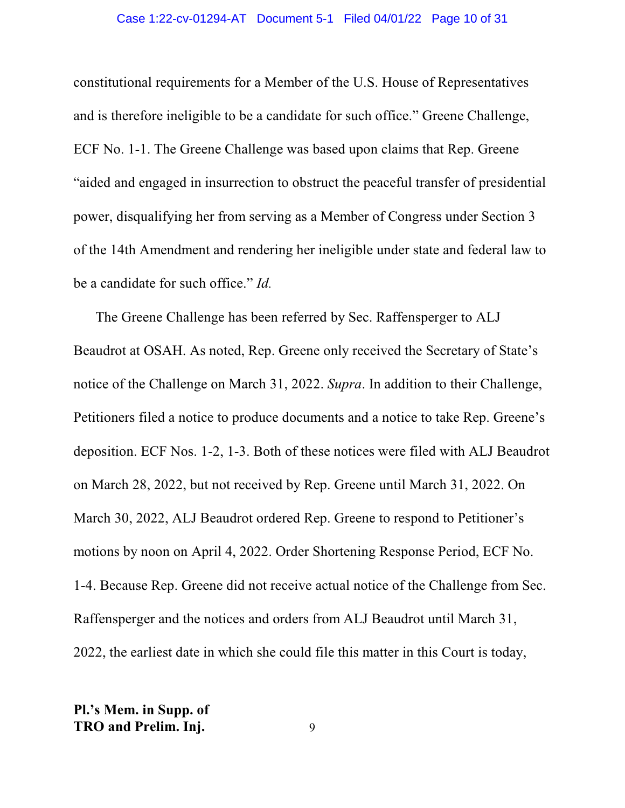#### Case 1:22-cv-01294-AT Document 5-1 Filed 04/01/22 Page 10 of 31

constitutional requirements for a Member of the U.S. House of Representatives and is therefore ineligible to be a candidate for such office." Greene Challenge, ECF No. 1-1. The Greene Challenge was based upon claims that Rep. Greene "aided and engaged in insurrection to obstruct the peaceful transfer of presidential power, disqualifying her from serving as a Member of Congress under Section 3 of the 14th Amendment and rendering her ineligible under state and federal law to be a candidate for such office." *Id.*

The Greene Challenge has been referred by Sec. Raffensperger to ALJ Beaudrot at OSAH. As noted, Rep. Greene only received the Secretary of State's notice of the Challenge on March 31, 2022. *Supra*. In addition to their Challenge, Petitioners filed a notice to produce documents and a notice to take Rep. Greene's deposition. ECF Nos. 1-2, 1-3. Both of these notices were filed with ALJ Beaudrot on March 28, 2022, but not received by Rep. Greene until March 31, 2022. On March 30, 2022, ALJ Beaudrot ordered Rep. Greene to respond to Petitioner's motions by noon on April 4, 2022. Order Shortening Response Period, ECF No. 1-4. Because Rep. Greene did not receive actual notice of the Challenge from Sec. Raffensperger and the notices and orders from ALJ Beaudrot until March 31, 2022, the earliest date in which she could file this matter in this Court is today,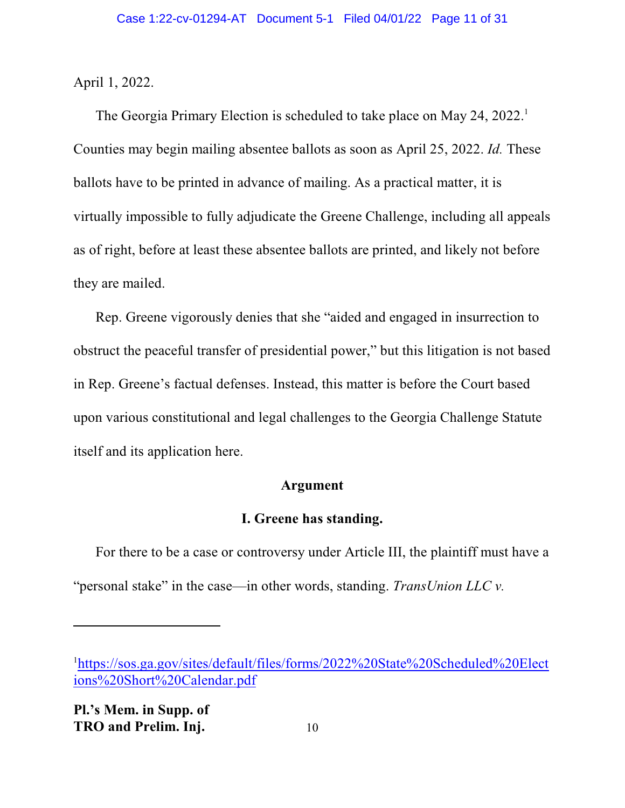April 1, 2022.

The Georgia Primary Election is scheduled to take place on May 24, 2022. 1 Counties may begin mailing absentee ballots as soon as April 25, 2022. *Id.* These ballots have to be printed in advance of mailing. As a practical matter, it is virtually impossible to fully adjudicate the Greene Challenge, including all appeals as of right, before at least these absentee ballots are printed, and likely not before they are mailed.

Rep. Greene vigorously denies that she "aided and engaged in insurrection to obstruct the peaceful transfer of presidential power," but this litigation is not based in Rep. Greene's factual defenses. Instead, this matter is before the Court based upon various constitutional and legal challenges to the Georgia Challenge Statute itself and its application here.

### **Argument**

## **I. Greene has standing.**

For there to be a case or controversy under Article III, the plaintiff must have a "personal stake" in the case—in other words, standing. *TransUnion LLC v.*

<sup>&</sup>lt;sup>1</sup>[https://sos.ga.gov/sites/default/files/forms/2022%20State%20Scheduled%20Elect](https://sos.ga.gov/sites/default/files/forms/2022%20State%20Scheduled%20Elections%20Short%20Calendar.pdf) [ions%20Short%20Calendar.pdf](https://sos.ga.gov/sites/default/files/forms/2022%20State%20Scheduled%20Elections%20Short%20Calendar.pdf)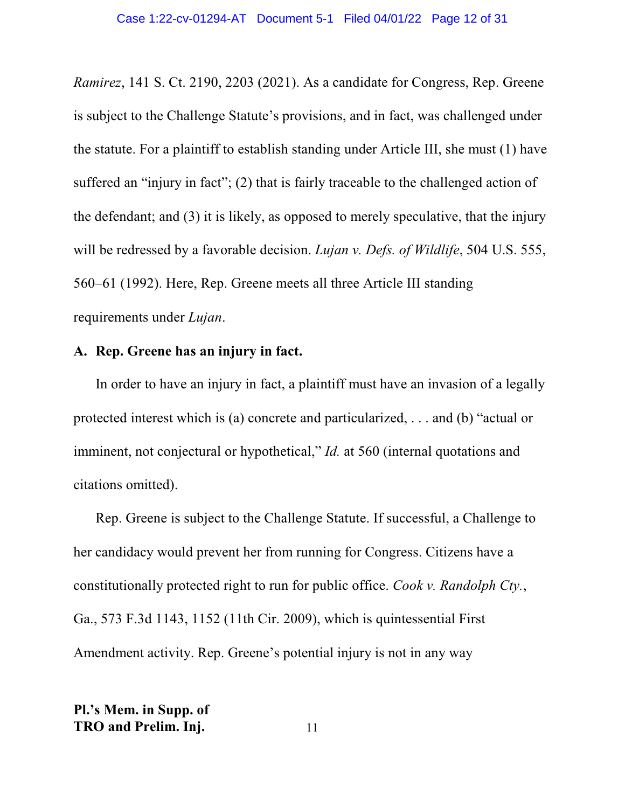*Ramirez*, 141 S. Ct. 2190, 2203 (2021). As a candidate for Congress, Rep. Greene is subject to the Challenge Statute's provisions, and in fact, was challenged under the statute. For a plaintiff to establish standing under Article III, she must (1) have suffered an "injury in fact"; (2) that is fairly traceable to the challenged action of the defendant; and (3) it is likely, as opposed to merely speculative, that the injury will be redressed by a favorable decision. *Lujan v. Defs. of Wildlife*, 504 U.S. 555, 560–61 (1992). Here, Rep. Greene meets all three Article III standing requirements under *Lujan*.

## **A. Rep. Greene has an injury in fact.**

In order to have an injury in fact, a plaintiff must have an invasion of a legally protected interest which is (a) concrete and particularized, . . . and (b) "actual or imminent, not conjectural or hypothetical," *Id.* at 560 (internal quotations and citations omitted).

Rep. Greene is subject to the Challenge Statute. If successful, a Challenge to her candidacy would prevent her from running for Congress. Citizens have a constitutionally protected right to run for public office. *Cook v. Randolph Cty.*, Ga., 573 F.3d 1143, 1152 (11th Cir. 2009), which is quintessential First Amendment activity. Rep. Greene's potential injury is not in any way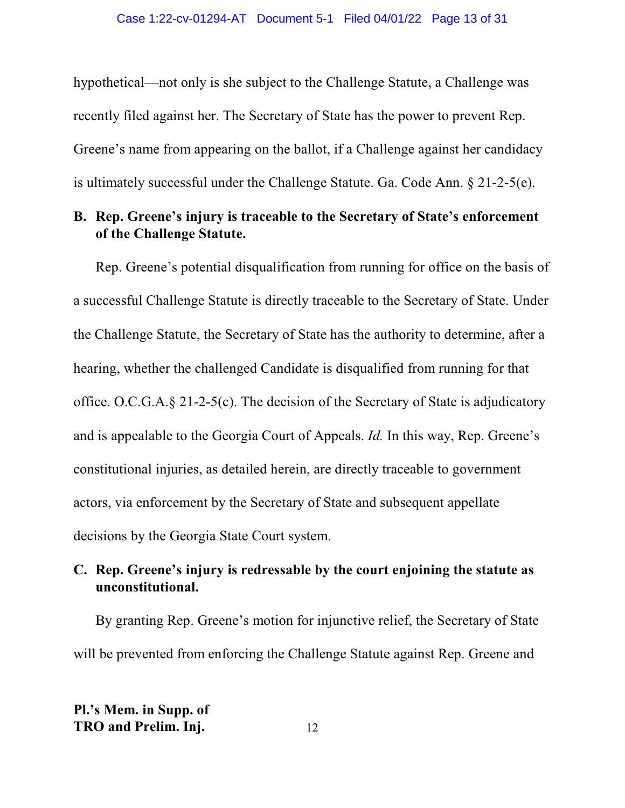hypothetical—not only is she subject to the Challenge Statute, a Challenge was recently filed against her. The Secretary of State has the power to prevent Rep. Greene's name from appearing on the ballot, if a Challenge against her candidacy is ultimately successful under the Challenge Statute. Ga. Code Ann. § 21-2-5(e).

## **B. Rep. Greene's injury is traceable to the Secretary of State's enforcement of the Challenge Statute.**

Rep. Greene's potential disqualification from running for office on the basis of a successful Challenge Statute is directly traceable to the Secretary of State. Under the Challenge Statute, the Secretary of State has the authority to determine, after a hearing, whether the challenged Candidate is disqualified from running for that office. O.C.G.A.§ 21-2-5(c). The decision of the Secretary of State is adjudicatory and is appealable to the Georgia Court of Appeals. *Id.* In this way, Rep. Greene's constitutional injuries, as detailed herein, are directly traceable to government actors, via enforcement by the Secretary of State and subsequent appellate decisions by the Georgia State Court system.

## **C. Rep. Greene's injury is redressable by the court enjoining the statute as unconstitutional.**

By granting Rep. Greene's motion for injunctive relief, the Secretary of State will be prevented from enforcing the Challenge Statute against Rep. Greene and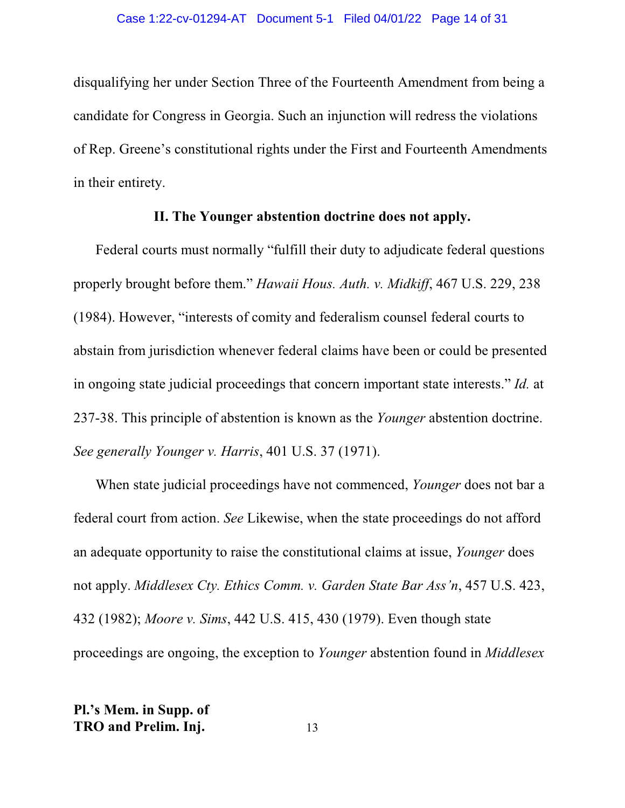disqualifying her under Section Three of the Fourteenth Amendment from being a candidate for Congress in Georgia. Such an injunction will redress the violations of Rep. Greene's constitutional rights under the First and Fourteenth Amendments in their entirety.

## **II. The Younger abstention doctrine does not apply.**

Federal courts must normally "fulfill their duty to adjudicate federal questions properly brought before them." *Hawaii Hous. Auth. v. Midkiff*, 467 U.S. 229, 238 (1984). However, "interests of comity and federalism counsel federal courts to abstain from jurisdiction whenever federal claims have been or could be presented in ongoing state judicial proceedings that concern important state interests." *Id.* at 237-38. This principle of abstention is known as the *Younger* abstention doctrine. *See generally Younger v. Harris*, 401 U.S. 37 (1971).

When state judicial proceedings have not commenced, *Younger* does not bar a federal court from action. *See* Likewise, when the state proceedings do not afford an adequate opportunity to raise the constitutional claims at issue, *Younger* does not apply. *Middlesex Cty. Ethics Comm. v. Garden State Bar Ass'n*, 457 U.S. 423, 432 (1982); *Moore v. Sims*, 442 U.S. 415, 430 (1979). Even though state proceedings are ongoing, the exception to *Younger* abstention found in *Middlesex*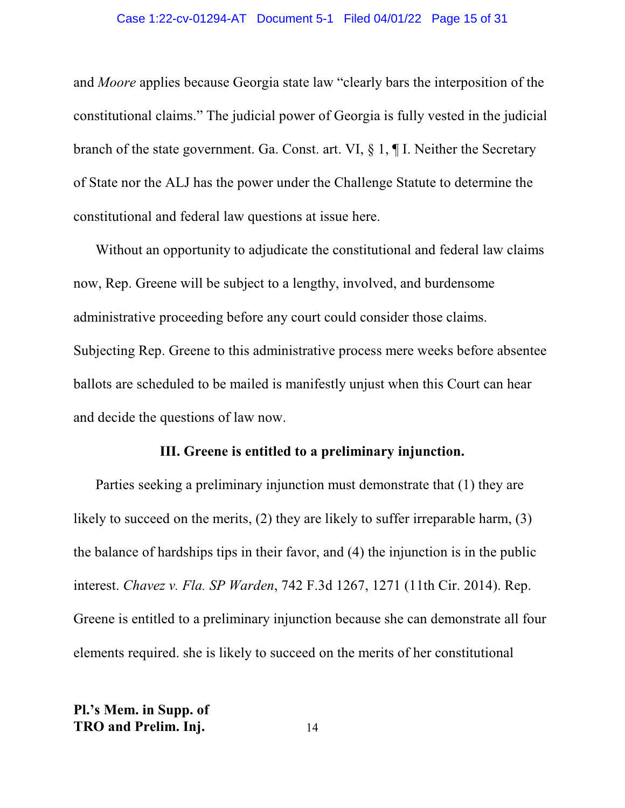#### Case 1:22-cv-01294-AT Document 5-1 Filed 04/01/22 Page 15 of 31

and *Moore* applies because Georgia state law "clearly bars the interposition of the constitutional claims." The judicial power of Georgia is fully vested in the judicial branch of the state government. Ga. Const. art. VI, § 1, ¶ I. Neither the Secretary of State nor the ALJ has the power under the Challenge Statute to determine the constitutional and federal law questions at issue here.

Without an opportunity to adjudicate the constitutional and federal law claims now, Rep. Greene will be subject to a lengthy, involved, and burdensome administrative proceeding before any court could consider those claims. Subjecting Rep. Greene to this administrative process mere weeks before absentee ballots are scheduled to be mailed is manifestly unjust when this Court can hear and decide the questions of law now.

## **III. Greene is entitled to a preliminary injunction.**

Parties seeking a preliminary injunction must demonstrate that (1) they are likely to succeed on the merits, (2) they are likely to suffer irreparable harm, (3) the balance of hardships tips in their favor, and (4) the injunction is in the public interest. *Chavez v. Fla. SP Warden*, 742 F.3d 1267, 1271 (11th Cir. 2014). Rep. Greene is entitled to a preliminary injunction because she can demonstrate all four elements required. she is likely to succeed on the merits of her constitutional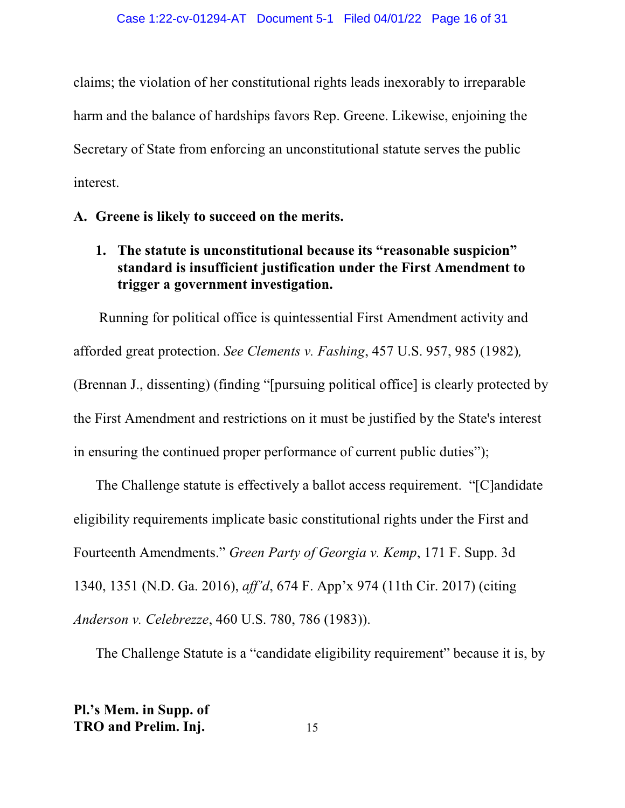claims; the violation of her constitutional rights leads inexorably to irreparable harm and the balance of hardships favors Rep. Greene. Likewise, enjoining the Secretary of State from enforcing an unconstitutional statute serves the public interest.

## **A. Greene is likely to succeed on the merits.**

**1. The statute is unconstitutional because its "reasonable suspicion" standard is insufficient justification under the First Amendment to trigger a government investigation.**

 Running for political office is quintessential First Amendment activity and afforded great protection. *See Clements v. Fashing*, 457 U.S. 957, 985 (1982)*,* (Brennan J., dissenting) (finding "[pursuing political office] is clearly protected by the First Amendment and restrictions on it must be justified by the State's interest in ensuring the continued proper performance of current public duties");

The Challenge statute is effectively a ballot access requirement. "[C]andidate eligibility requirements implicate basic constitutional rights under the First and Fourteenth Amendments." *Green Party of Georgia v. Kemp*, 171 F. Supp. 3d 1340, 1351 (N.D. Ga. 2016), *aff'd*, 674 F. App'x 974 (11th Cir. 2017) (citing *Anderson v. Celebrezze*, 460 U.S. 780, 786 (1983)).

The Challenge Statute is a "candidate eligibility requirement" because it is, by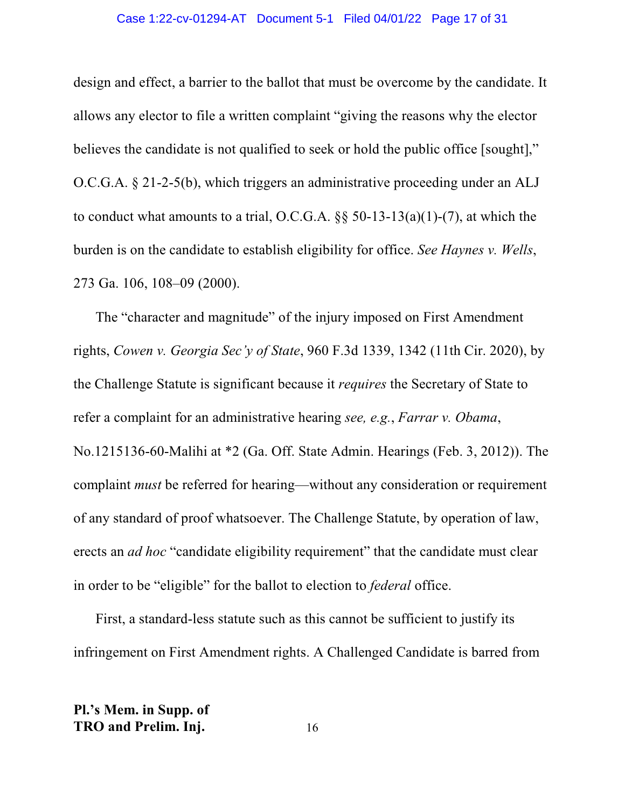#### Case 1:22-cv-01294-AT Document 5-1 Filed 04/01/22 Page 17 of 31

design and effect, a barrier to the ballot that must be overcome by the candidate. It allows any elector to file a written complaint "giving the reasons why the elector believes the candidate is not qualified to seek or hold the public office [sought]," O.C.G.A. § 21-2-5(b), which triggers an administrative proceeding under an ALJ to conduct what amounts to a trial, O.C.G.A.  $\S$ § 50-13-13(a)(1)-(7), at which the burden is on the candidate to establish eligibility for office. *See Haynes v. Wells*, 273 Ga. 106, 108–09 (2000).

The "character and magnitude" of the injury imposed on First Amendment rights, *Cowen v. Georgia Sec'y of State*, 960 F.3d 1339, 1342 (11th Cir. 2020), by the Challenge Statute is significant because it *requires* the Secretary of State to refer a complaint for an administrative hearing *see, e.g.*, *Farrar v. Obama*, No.1215136-60-Malihi at \*2 (Ga. Off. State Admin. Hearings (Feb. 3, 2012)). The complaint *must* be referred for hearing—without any consideration or requirement of any standard of proof whatsoever. The Challenge Statute, by operation of law, erects an *ad hoc* "candidate eligibility requirement" that the candidate must clear in order to be "eligible" for the ballot to election to *federal* office.

First, a standard-less statute such as this cannot be sufficient to justify its infringement on First Amendment rights. A Challenged Candidate is barred from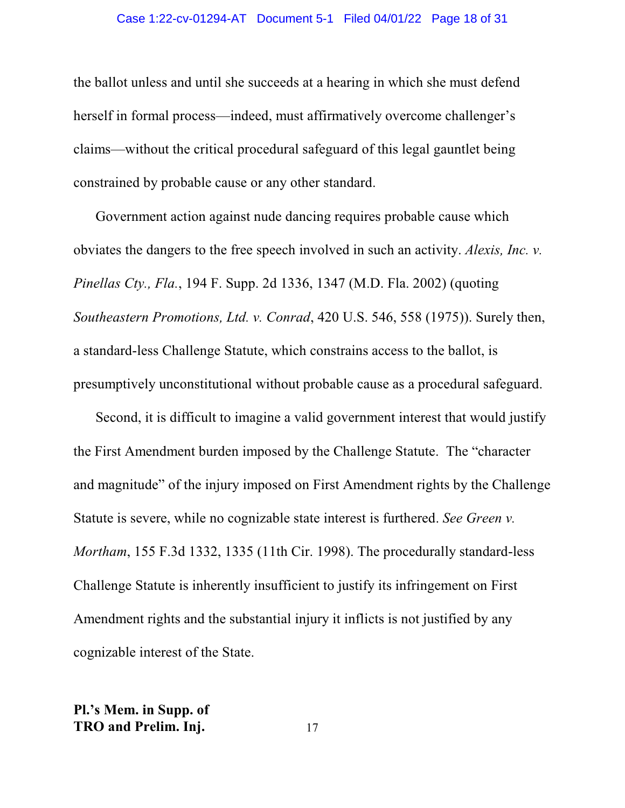#### Case 1:22-cv-01294-AT Document 5-1 Filed 04/01/22 Page 18 of 31

the ballot unless and until she succeeds at a hearing in which she must defend herself in formal process—indeed, must affirmatively overcome challenger's claims—without the critical procedural safeguard of this legal gauntlet being constrained by probable cause or any other standard.

Government action against nude dancing requires probable cause which obviates the dangers to the free speech involved in such an activity. *Alexis, Inc. v. Pinellas Cty., Fla.*, 194 F. Supp. 2d 1336, 1347 (M.D. Fla. 2002) (quoting *Southeastern Promotions, Ltd. v. Conrad*, 420 U.S. 546, 558 (1975)). Surely then, a standard-less Challenge Statute, which constrains access to the ballot, is presumptively unconstitutional without probable cause as a procedural safeguard.

Second, it is difficult to imagine a valid government interest that would justify the First Amendment burden imposed by the Challenge Statute. The "character and magnitude" of the injury imposed on First Amendment rights by the Challenge Statute is severe, while no cognizable state interest is furthered. *See Green v. Mortham*, 155 F.3d 1332, 1335 (11th Cir. 1998). The procedurally standard-less Challenge Statute is inherently insufficient to justify its infringement on First Amendment rights and the substantial injury it inflicts is not justified by any cognizable interest of the State.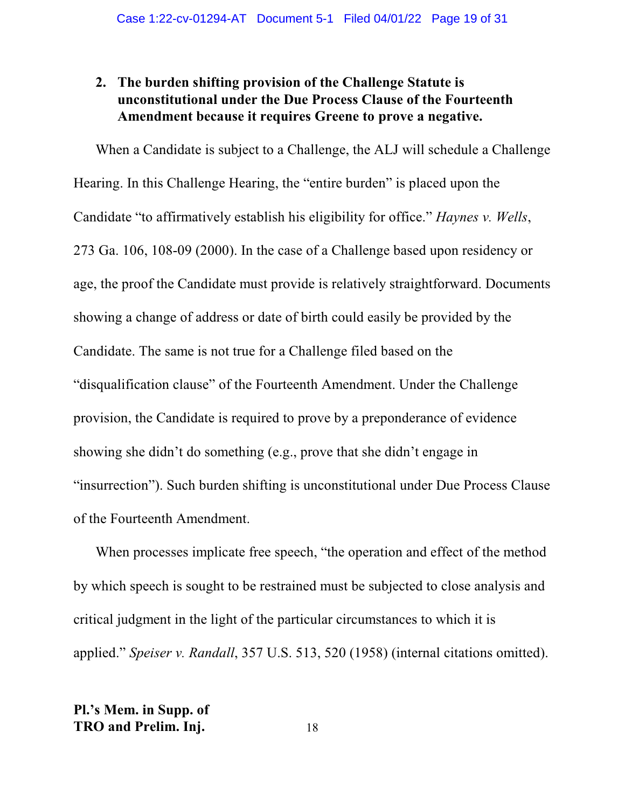## **2. The burden shifting provision of the Challenge Statute is unconstitutional under the Due Process Clause of the Fourteenth Amendment because it requires Greene to prove a negative.**

When a Candidate is subject to a Challenge, the ALJ will schedule a Challenge Hearing. In this Challenge Hearing, the "entire burden" is placed upon the Candidate "to affirmatively establish his eligibility for office." *Haynes v. Wells*, 273 Ga. 106, 108-09 (2000). In the case of a Challenge based upon residency or age, the proof the Candidate must provide is relatively straightforward. Documents showing a change of address or date of birth could easily be provided by the Candidate. The same is not true for a Challenge filed based on the "disqualification clause" of the Fourteenth Amendment. Under the Challenge provision, the Candidate is required to prove by a preponderance of evidence showing she didn't do something (e.g., prove that she didn't engage in "insurrection"). Such burden shifting is unconstitutional under Due Process Clause of the Fourteenth Amendment.

When processes implicate free speech, "the operation and effect of the method by which speech is sought to be restrained must be subjected to close analysis and critical judgment in the light of the particular circumstances to which it is applied." *Speiser v. Randall*, 357 U.S. 513, 520 (1958) (internal citations omitted).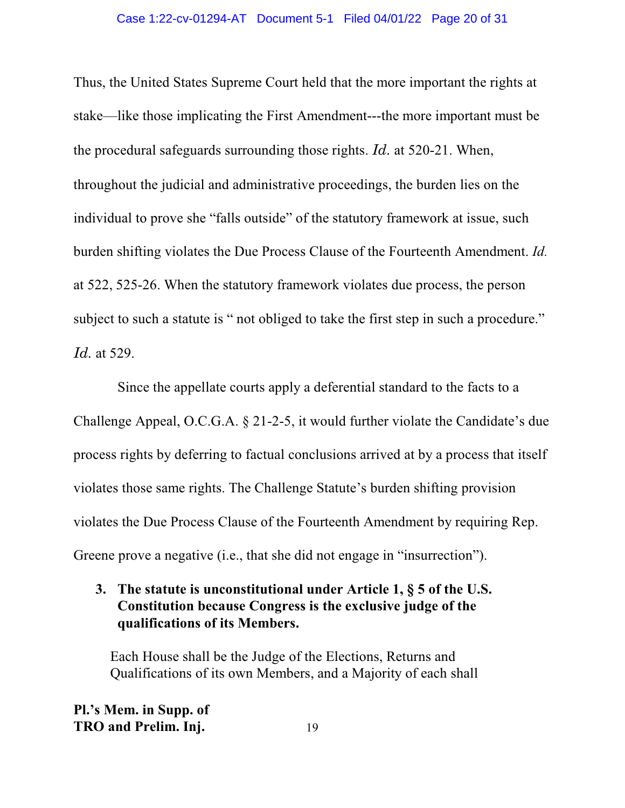#### Case 1:22-cv-01294-AT Document 5-1 Filed 04/01/22 Page 20 of 31

Thus, the United States Supreme Court held that the more important the rights at stake—like those implicating the First Amendment---the more important must be the procedural safeguards surrounding those rights. *Id.* at 520-21. When, throughout the judicial and administrative proceedings, the burden lies on the individual to prove she "falls outside" of the statutory framework at issue, such burden shifting violates the Due Process Clause of the Fourteenth Amendment. *Id.* at 522, 525-26. When the statutory framework violates due process, the person subject to such a statute is " not obliged to take the first step in such a procedure." *Id.* at 529.

Since the appellate courts apply a deferential standard to the facts to a Challenge Appeal, O.C.G.A. § 21-2-5, it would further violate the Candidate's due process rights by deferring to factual conclusions arrived at by a process that itself violates those same rights. The Challenge Statute's burden shifting provision violates the Due Process Clause of the Fourteenth Amendment by requiring Rep. Greene prove a negative (i.e., that she did not engage in "insurrection").

## **3. The statute is unconstitutional under Article 1, § 5 of the U.S. Constitution because Congress is the exclusive judge of the qualifications of its Members.**

Each House shall be the Judge of the Elections, Returns and Qualifications of its own Members, and a Majority of each shall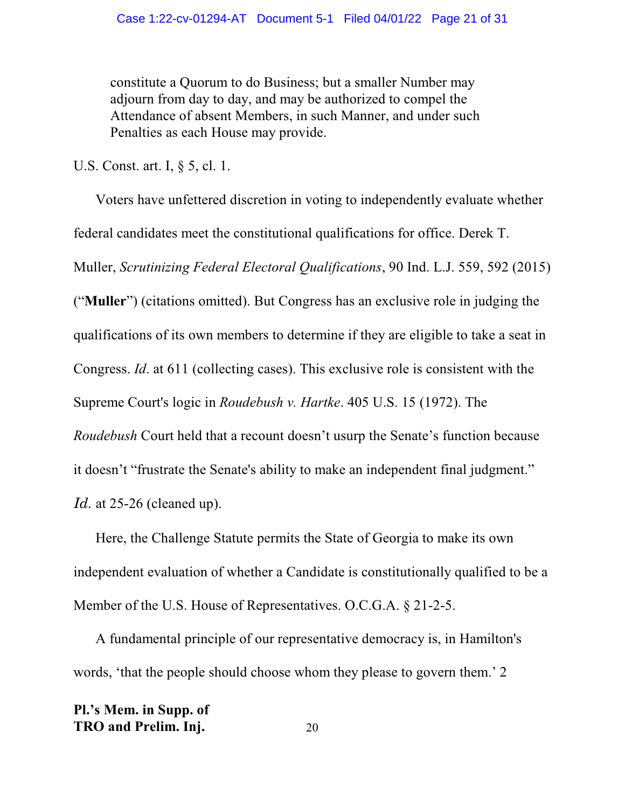constitute a Quorum to do Business; but a smaller Number may adjourn from day to day, and may be authorized to compel the Attendance of absent Members, in such Manner, and under such Penalties as each House may provide.

U.S. Const. art. I, § 5, cl. 1.

Voters have unfettered discretion in voting to independently evaluate whether federal candidates meet the constitutional qualifications for office. Derek T. Muller, *Scrutinizing Federal Electoral Qualifications*, 90 Ind. L.J. 559, 592 (2015) ("**Muller**") (citations omitted). But Congress has an exclusive role in judging the qualifications of its own members to determine if they are eligible to take a seat in Congress. *Id*. at 611 (collecting cases). This exclusive role is consistent with the Supreme Court's logic in *Roudebush v. Hartke*. 405 U.S. 15 (1972). The *Roudebush* Court held that a recount doesn't usurp the Senate's function because it doesn't "frustrate the Senate's ability to make an independent final judgment." *Id.* at 25-26 (cleaned up).

Here, the Challenge Statute permits the State of Georgia to make its own independent evaluation of whether a Candidate is constitutionally qualified to be a Member of the U.S. House of Representatives. O.C.G.A. § 21-2-5.

A fundamental principle of our representative democracy is, in Hamilton's words, 'that the people should choose whom they please to govern them.' 2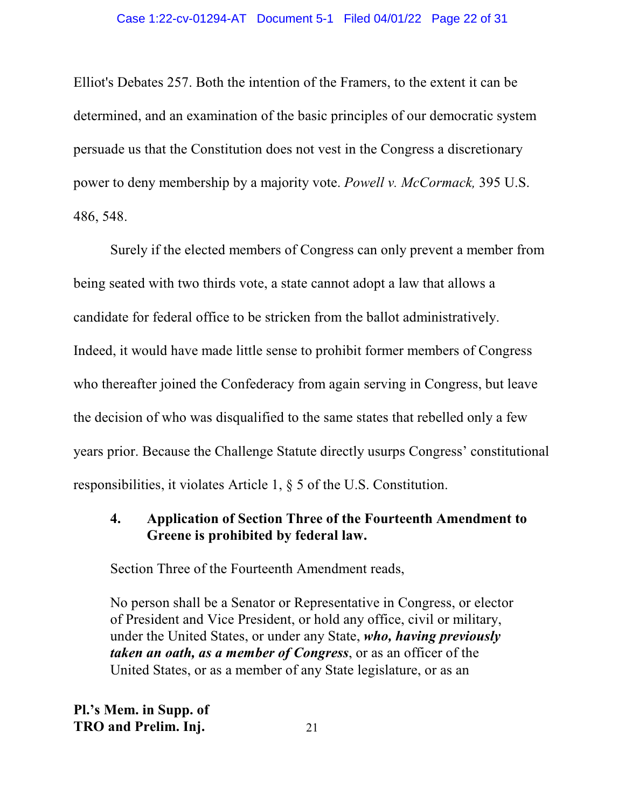Elliot's Debates 257. Both the intention of the Framers, to the extent it can be determined, and an examination of the basic principles of our democratic system persuade us that the Constitution does not vest in the Congress a discretionary power to deny membership by a majority vote. *Powell v. McCormack,* 395 U.S. 486, 548.

Surely if the elected members of Congress can only prevent a member from being seated with two thirds vote, a state cannot adopt a law that allows a candidate for federal office to be stricken from the ballot administratively. Indeed, it would have made little sense to prohibit former members of Congress who thereafter joined the Confederacy from again serving in Congress, but leave the decision of who was disqualified to the same states that rebelled only a few years prior. Because the Challenge Statute directly usurps Congress' constitutional responsibilities, it violates Article 1, § 5 of the U.S. Constitution.

## **4. Application of Section Three of the Fourteenth Amendment to Greene is prohibited by federal law.**

Section Three of the Fourteenth Amendment reads,

No person shall be a Senator or Representative in Congress, or elector of President and Vice President, or hold any office, civil or military, under the United States, or under any State, *who, having previously taken an oath, as a member of Congress*, or as an officer of the United States, or as a member of any State legislature, or as an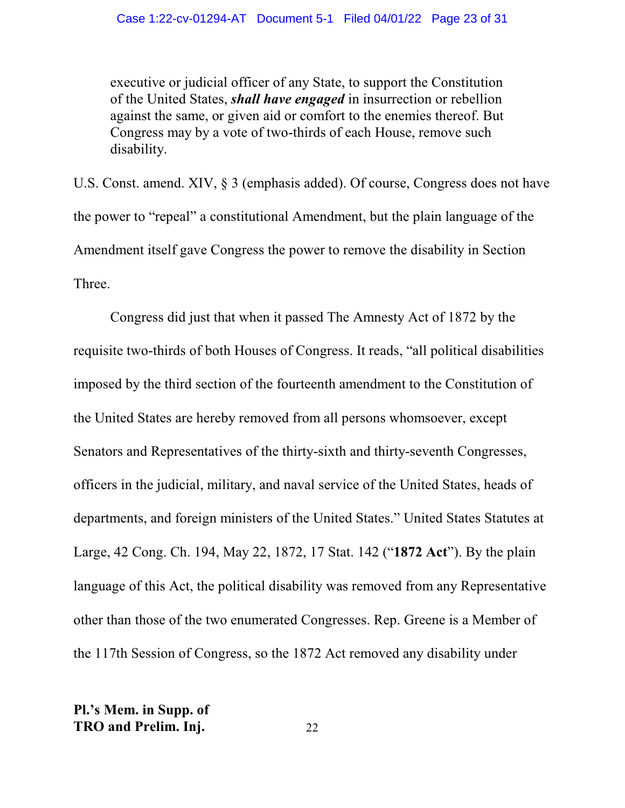executive or judicial officer of any State, to support the Constitution of the United States, *shall have engaged* in insurrection or rebellion against the same, or given aid or comfort to the enemies thereof. But Congress may by a vote of two-thirds of each House, remove such disability.

U.S. Const. amend. XIV, § 3 (emphasis added). Of course, Congress does not have the power to "repeal" a constitutional Amendment, but the plain language of the Amendment itself gave Congress the power to remove the disability in Section Three.

Congress did just that when it passed The Amnesty Act of 1872 by the requisite two-thirds of both Houses of Congress. It reads, "all political disabilities imposed by the third section of the fourteenth amendment to the Constitution of the United States are hereby removed from all persons whomsoever, except Senators and Representatives of the thirty-sixth and thirty-seventh Congresses, officers in the judicial, military, and naval service of the United States, heads of departments, and foreign ministers of the United States." United States Statutes at Large, 42 Cong. Ch. 194, May 22, 1872, 17 Stat. 142 ("**1872 Act**"). By the plain language of this Act, the political disability was removed from any Representative other than those of the two enumerated Congresses. Rep. Greene is a Member of the 117th Session of Congress, so the 1872 Act removed any disability under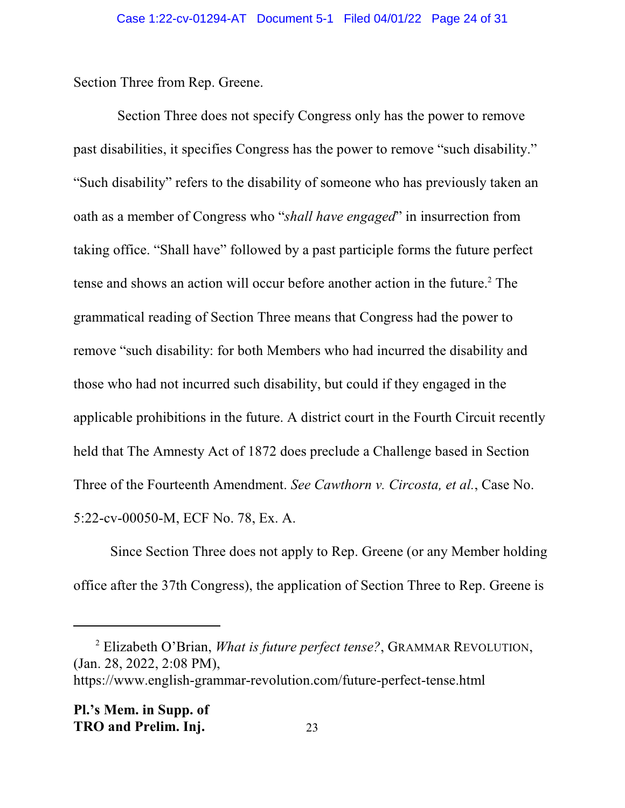Section Three from Rep. Greene.

 Section Three does not specify Congress only has the power to remove past disabilities, it specifies Congress has the power to remove "such disability." "Such disability" refers to the disability of someone who has previously taken an oath as a member of Congress who "*shall have engaged*" in insurrection from taking office. "Shall have" followed by a past participle forms the future perfect tense and shows an action will occur before another action in the future.<sup>2</sup> The grammatical reading of Section Three means that Congress had the power to remove "such disability: for both Members who had incurred the disability and those who had not incurred such disability, but could if they engaged in the applicable prohibitions in the future. A district court in the Fourth Circuit recently held that The Amnesty Act of 1872 does preclude a Challenge based in Section Three of the Fourteenth Amendment. *See Cawthorn v. Circosta, et al.*, Case No. 5:22-cv-00050-M, ECF No. 78, Ex. A.

Since Section Three does not apply to Rep. Greene (or any Member holding office after the 37th Congress), the application of Section Three to Rep. Greene is

<sup>2</sup> Elizabeth O'Brian, *What is future perfect tense?*, GRAMMAR REVOLUTION, (Jan. 28, 2022, 2:08 PM),

https://www.english-grammar-revolution.com/future-perfect-tense.html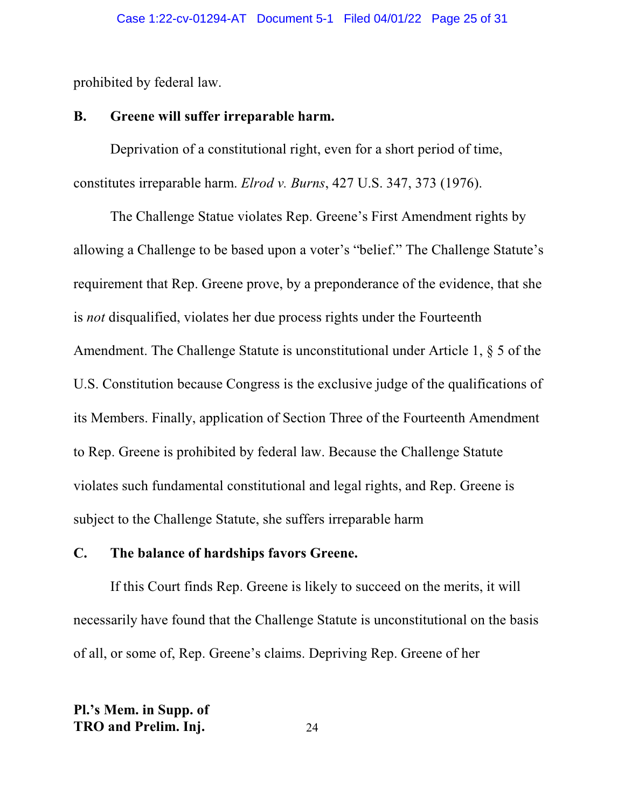prohibited by federal law.

## **B. Greene will suffer irreparable harm.**

Deprivation of a constitutional right, even for a short period of time, constitutes irreparable harm. *Elrod v. Burns*, 427 U.S. 347, 373 (1976).

The Challenge Statue violates Rep. Greene's First Amendment rights by allowing a Challenge to be based upon a voter's "belief." The Challenge Statute's requirement that Rep. Greene prove, by a preponderance of the evidence, that she is *not* disqualified, violates her due process rights under the Fourteenth Amendment. The Challenge Statute is unconstitutional under Article 1, § 5 of the U.S. Constitution because Congress is the exclusive judge of the qualifications of its Members. Finally, application of Section Three of the Fourteenth Amendment to Rep. Greene is prohibited by federal law. Because the Challenge Statute violates such fundamental constitutional and legal rights, and Rep. Greene is subject to the Challenge Statute, she suffers irreparable harm

## **C. The balance of hardships favors Greene.**

If this Court finds Rep. Greene is likely to succeed on the merits, it will necessarily have found that the Challenge Statute is unconstitutional on the basis of all, or some of, Rep. Greene's claims. Depriving Rep. Greene of her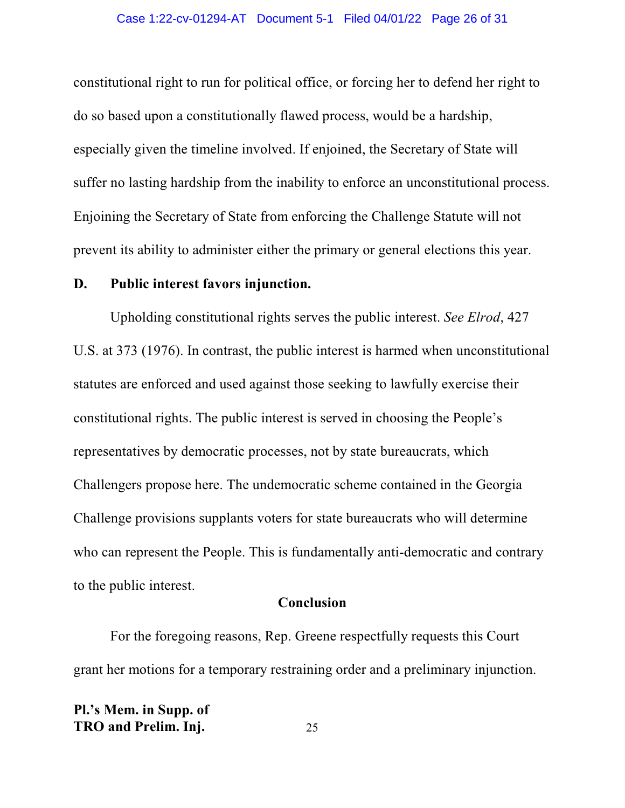constitutional right to run for political office, or forcing her to defend her right to do so based upon a constitutionally flawed process, would be a hardship, especially given the timeline involved. If enjoined, the Secretary of State will suffer no lasting hardship from the inability to enforce an unconstitutional process. Enjoining the Secretary of State from enforcing the Challenge Statute will not prevent its ability to administer either the primary or general elections this year.

## **D. Public interest favors injunction.**

Upholding constitutional rights serves the public interest. *See Elrod*, 427 U.S. at 373 (1976). In contrast, the public interest is harmed when unconstitutional statutes are enforced and used against those seeking to lawfully exercise their constitutional rights. The public interest is served in choosing the People's representatives by democratic processes, not by state bureaucrats, which Challengers propose here. The undemocratic scheme contained in the Georgia Challenge provisions supplants voters for state bureaucrats who will determine who can represent the People. This is fundamentally anti-democratic and contrary to the public interest.

## **Conclusion**

For the foregoing reasons, Rep. Greene respectfully requests this Court grant her motions for a temporary restraining order and a preliminary injunction.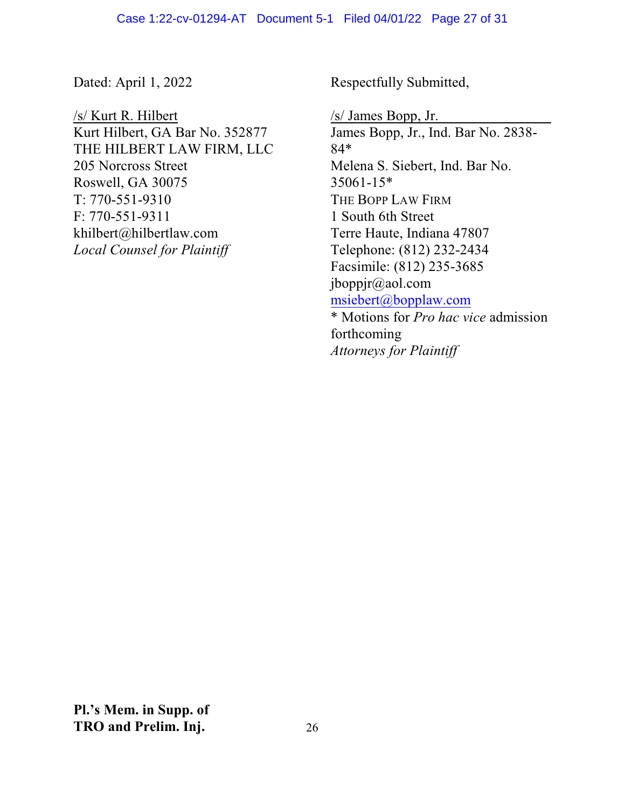Dated: April 1, 2022

/s/ Kurt R. Hilbert Kurt Hilbert, GA Bar No. 352877 THE HILBERT LAW FIRM, LLC 205 Norcross Street Roswell, GA 30075 T: 770-551-9310 F: 770-551-9311 khilbert@hilbertlaw.com *Local Counsel for Plaintiff*

Respectfully Submitted,

*Attorneys for Plaintiff*

/s/ James Bopp, Jr. James Bopp, Jr., Ind. Bar No. 2838- 84\* Melena S. Siebert, Ind. Bar No. 35061-15\* THE BOPP LAW FIRM 1 South 6th Street Terre Haute, Indiana 47807 Telephone: (812) 232-2434 Facsimile: (812) 235-3685 jboppjr@aol.com [msiebert@bopplaw.com](mailto:msiebert@bopplaw.com) \* Motions for *Pro hac vice* admission forthcoming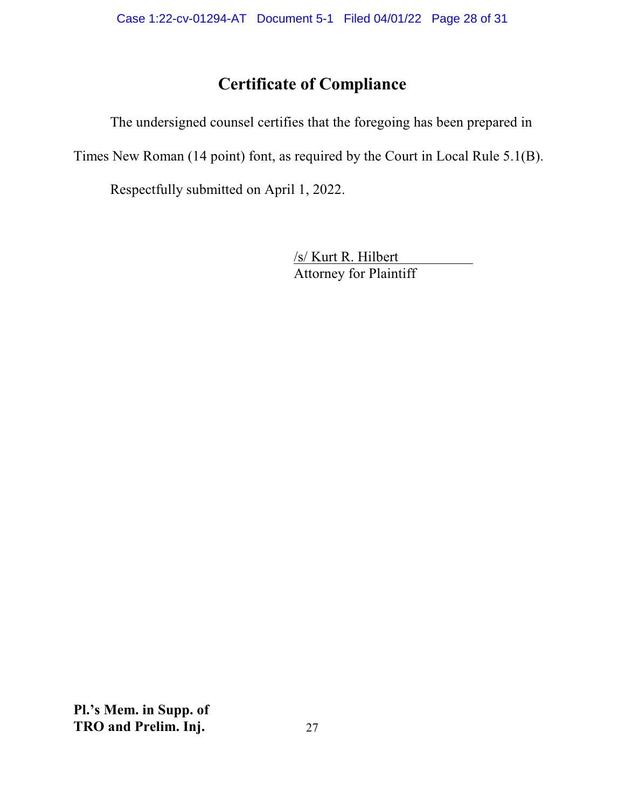# **Certificate of Compliance**

The undersigned counsel certifies that the foregoing has been prepared in Times New Roman (14 point) font, as required by the Court in Local Rule 5.1(B).

Respectfully submitted on April 1, 2022.

/s/ Kurt R. Hilbert Attorney for Plaintiff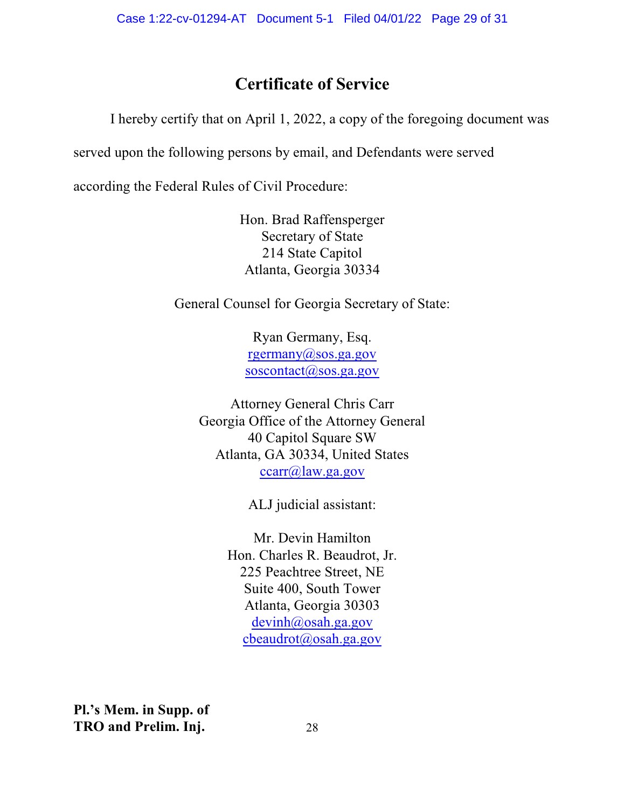# **Certificate of Service**

I hereby certify that on April 1, 2022, a copy of the foregoing document was

served upon the following persons by email, and Defendants were served

according the Federal Rules of Civil Procedure:

Hon. Brad Raffensperger Secretary of State 214 State Capitol Atlanta, Georgia 30334

General Counsel for Georgia Secretary of State:

Ryan Germany, Esq. [rgermany@sos.ga.gov](mailto:rgermany@sos.ga.gov) [soscontact@sos.ga.gov](mailto:soscontact@sos.ga.gov)

Attorney General Chris Carr Georgia Office of the Attorney General 40 Capitol Square SW Atlanta, GA 30334, United States [ccarr@law.ga.gov](mailto:ccarr@law.ga.gov)

ALJ judicial assistant:

Mr. Devin Hamilton Hon. Charles R. Beaudrot, Jr. 225 Peachtree Street, NE Suite 400, South Tower Atlanta, Georgia 30303 [devinh@osah.ga.gov](mailto:devinh@osah.ga.gov) [cbeaudrot@osah.ga.gov](mailto:cbeaudrot@osah.ga.gov)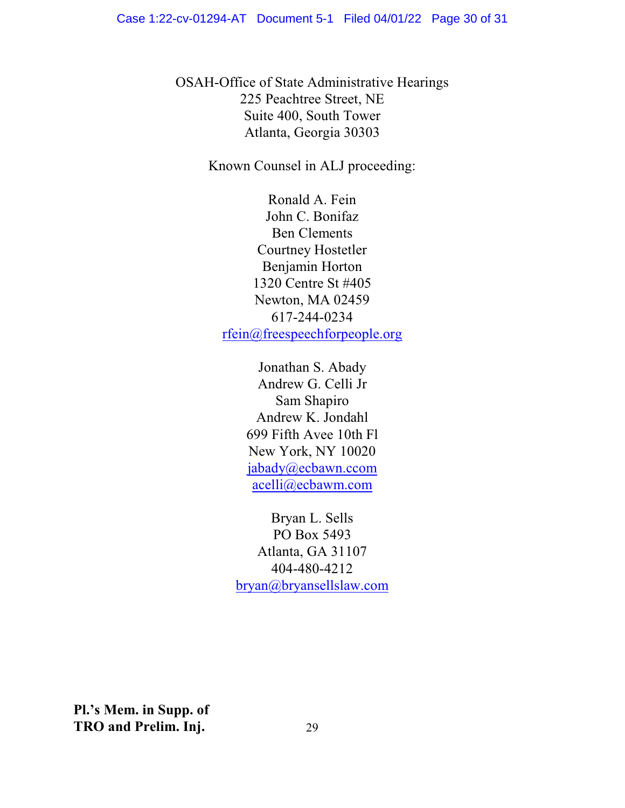OSAH-Office of State Administrative Hearings 225 Peachtree Street, NE Suite 400, South Tower Atlanta, Georgia 30303

Known Counsel in ALJ proceeding:

Ronald A. Fein John C. Bonifaz Ben Clements Courtney Hostetler Benjamin Horton 1320 Centre St #405 Newton, MA 02459 617-244-0234 [rfein@freespeechforpeople.org](mailto:rfein@freespeechforpeople.org)

> Jonathan S. Abady Andrew G. Celli Jr Sam Shapiro Andrew K. Jondahl 699 Fifth Avee 10th Fl New York, NY 10020 [jabady@ecbawn.ccom](mailto:jabady@ecbawn.ccom) [acelli@ecbawm.com](mailto:acelli@ecbawm.com)

Bryan L. Sells PO Box 5493 Atlanta, GA 31107 404-480-4212 [bryan@bryansellslaw.com](mailto:bryan@bryansellslaw.com)